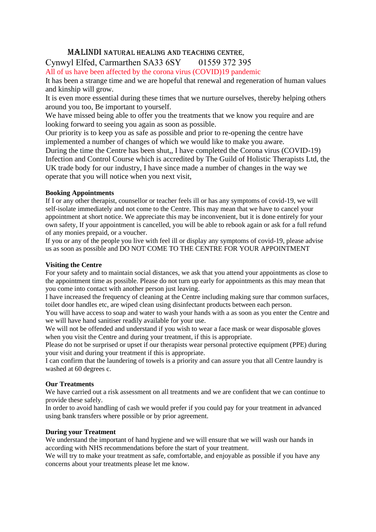## Malindi Natural Healing and Teaching Centre,

# Cynwyl Elfed, Carmarthen SA33 6SY 01559 372 395

All of us have been affected by the corona virus (COVID)19 pandemic

It has been a strange time and we are hopeful that renewal and regeneration of human values and kinship will grow.

It is even more essential during these times that we nurture ourselves, thereby helping others around you too, Be important to yourself.

We have missed being able to offer you the treatments that we know you require and are looking forward to seeing you again as soon as possible.

Our priority is to keep you as safe as possible and prior to re-opening the centre have implemented a number of changes of which we would like to make you aware.

During the time the Centre has been shut,, I have completed the Corona virus (COVID-19) Infection and Control Course which is accredited by The Guild of Holistic Therapists Ltd, the UK trade body for our industry, I have since made a number of changes in the way we operate that you will notice when you next visit,

### **Booking Appointments**

If I or any other therapist, counsellor or teacher feels ill or has any symptoms of covid-19, we will self-isolate immediately and not come to the Centre. This may mean that we have to cancel your appointment at short notice. We appreciate this may be inconvenient, but it is done entirely for your own safety, If your appointment is cancelled, you will be able to rebook again or ask for a full refund of any monies prepaid, or a voucher.

If you or any of the people you live with feel ill or display any symptoms of covid-19, please advise us as soon as possible and DO NOT COME TO THE CENTRE FOR YOUR APPOINTMENT

#### **Visiting the Centre**

For your safety and to maintain social distances, we ask that you attend your appointments as close to the appointment time as possible. Please do not turn up early for appointments as this may mean that you come into contact with another person just leaving.

I have increased the frequency of cleaning at the Centre including making sure thar common surfaces, toilet door handles etc, are wiped clean using disinfectant products between each person.

You will have access to soap and water to wash your hands with a as soon as you enter the Centre and we will have hand sanitiser readily available for your use.

We will not be offended and understand if you wish to wear a face mask or wear disposable gloves when you visit the Centre and during your treatment, if this is appropriate.

Please do not be surprised or upset if our therapists wear personal protective equipment (PPE) during your visit and during your treatment if this is appropriate.

I can confirm that the laundering of towels is a priority and can assure you that all Centre laundry is washed at 60 degrees c.

#### **Our Treatments**

We have carried out a risk assessment on all treatments and we are confident that we can continue to provide these safely.

In order to avoid handling of cash we would prefer if you could pay for your treatment in advanced using bank transfers where possible or by prior agreement.

#### **During your Treatment**

We understand the important of hand hygiene and we will ensure that we will wash our hands in according with NHS recommendations before the start of your treatment.

We will try to make your treatment as safe, comfortable, and enjoyable as possible if you have any concerns about your treatments please let me know.